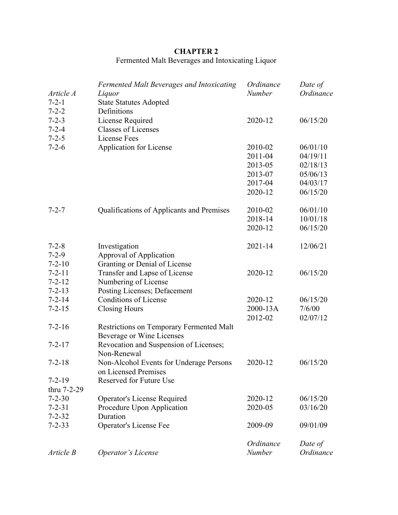# **CHAPTER 2**

# Fermented Malt Beverages and Intoxicating Liquor

| Article A<br>$7 - 2 - 1$<br>$7 - 2 - 2$   | Fermented Malt Beverages and Intoxicating<br>Liquor<br><b>State Statutes Adopted</b><br>Definitions | Ordinance<br><b>Number</b> | Date of<br>Ordinance |
|-------------------------------------------|-----------------------------------------------------------------------------------------------------|----------------------------|----------------------|
| $7 - 2 - 3$<br>$7 - 2 - 4$<br>$7 - 2 - 5$ | License Required<br><b>Classes of Licenses</b><br>License Fees                                      | 2020-12                    | 06/15/20             |
| $7 - 2 - 6$                               | <b>Application for License</b>                                                                      | 2010-02                    | 06/01/10             |
|                                           |                                                                                                     | 2011-04                    | 04/19/11             |
|                                           |                                                                                                     | 2013-05                    | 02/18/13             |
|                                           |                                                                                                     | 2013-07                    | 05/06/13             |
|                                           |                                                                                                     | 2017-04                    | 04/03/17             |
|                                           |                                                                                                     | 2020-12                    | 06/15/20             |
| $7 - 2 - 7$                               | Qualifications of Applicants and Premises                                                           | 2010-02                    | 06/01/10             |
|                                           |                                                                                                     | 2018-14                    | 10/01/18             |
|                                           |                                                                                                     | 2020-12                    | 06/15/20             |
| $7 - 2 - 8$                               | Investigation                                                                                       | $2021 - 14$                | 12/06/21             |
| $7 - 2 - 9$                               | Approval of Application                                                                             |                            |                      |
| $7 - 2 - 10$                              | Granting or Denial of License                                                                       |                            |                      |
| $7 - 2 - 11$                              | Transfer and Lapse of License                                                                       | 2020-12                    | 06/15/20             |
| $7 - 2 - 12$                              | Numbering of License                                                                                |                            |                      |
| $7 - 2 - 13$                              | Posting Licenses; Defacement                                                                        |                            |                      |
| $7 - 2 - 14$                              | <b>Conditions of License</b>                                                                        | 2020-12                    | 06/15/20             |
| $7 - 2 - 15$                              | <b>Closing Hours</b>                                                                                | 2000-13A                   | 7/6/00               |
|                                           |                                                                                                     | 2012-02                    | 02/07/12             |
| $7 - 2 - 16$                              | Restrictions on Temporary Fermented Malt<br>Beverage or Wine Licenses                               |                            |                      |
| $7 - 2 - 17$                              | Revocation and Suspension of Licenses;<br>Non-Renewal                                               |                            |                      |
| $7 - 2 - 18$                              | Non-Alcohol Events for Underage Persons<br>on Licensed Premises                                     | 2020-12                    | 06/15/20             |
| $7 - 2 - 19$                              | Reserved for Future Use                                                                             |                            |                      |
| thru 7-2-29                               |                                                                                                     |                            |                      |
| $7 - 2 - 30$                              | <b>Operator's License Required</b>                                                                  | 2020-12                    | 06/15/20             |
| $7 - 2 - 31$                              | Procedure Upon Application                                                                          | 2020-05                    | 03/16/20             |
| $7 - 2 - 32$                              | Duration                                                                                            |                            |                      |
| $7 - 2 - 33$                              | Operator's License Fee                                                                              | 2009-09                    | 09/01/09             |
|                                           |                                                                                                     | Ordinance                  | Date of              |
| Article B                                 | Operator's License                                                                                  | Number                     | Ordinance            |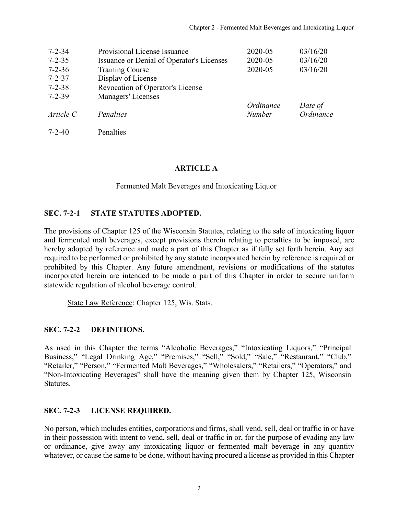<span id="page-1-0"></span>

| $7 - 2 - 34$ | Provisional License Issuance              | 2020-05       | 03/16/20  |
|--------------|-------------------------------------------|---------------|-----------|
| $7 - 2 - 35$ | Issuance or Denial of Operator's Licenses | 2020-05       | 03/16/20  |
| $7 - 2 - 36$ | <b>Training Course</b>                    | 2020-05       | 03/16/20  |
| $7 - 2 - 37$ | Display of License                        |               |           |
| $7 - 2 - 38$ | Revocation of Operator's License          |               |           |
| $7 - 2 - 39$ | Managers' Licenses                        |               |           |
|              |                                           | Ordinance     | Date of   |
| Article C    | Penalties                                 | <b>Number</b> | Ordinance |
| $7 - 2 - 40$ | Penalties                                 |               |           |

#### **ARTICLE A**

Fermented Malt Beverages and Intoxicating Liquor

#### **SEC. 7-2-1 STATE STATUTES ADOPTED.**

The provisions of Chapter 125 of the Wisconsin Statutes, relating to the sale of intoxicating liquor and fermented malt beverages, except provisions therein relating to penalties to be imposed, are hereby adopted by reference and made a part of this Chapter as if fully set forth herein. Any act required to be performed or prohibited by any statute incorporated herein by reference is required or prohibited by this Chapter. Any future amendment, revisions or modifications of the statutes incorporated herein are intended to be made a part of this Chapter in order to secure uniform statewide regulation of alcohol beverage control.

State Law Reference: Chapter 125, Wis. Stats.

#### **SEC. 7-2-2 DEFINITIONS.**

As used in this Chapter the terms "Alcoholic Beverages," "Intoxicating Liquors," "Principal Business," "Legal Drinking Age," "Premises," "Sell," "Sold," "Sale," "Restaurant," "Club," "Retailer," "Person," "Fermented Malt Beverages," "Wholesalers," "Retailers," "Operators," and "Non-Intoxicating Beverages" shall have the meaning given them by Chapter 125, Wisconsin Statutes.

#### **SEC. 7-2-3 LICENSE REQUIRED.**

No person, which includes entities, corporations and firms, shall vend, sell, deal or traffic in or have in their possession with intent to vend, sell, deal or traffic in or, for the purpose of evading any law or ordinance, give away any intoxicating liquor or fermented malt beverage in any quantity whatever, or cause the same to be done, without having procured a license as provided in this Chapter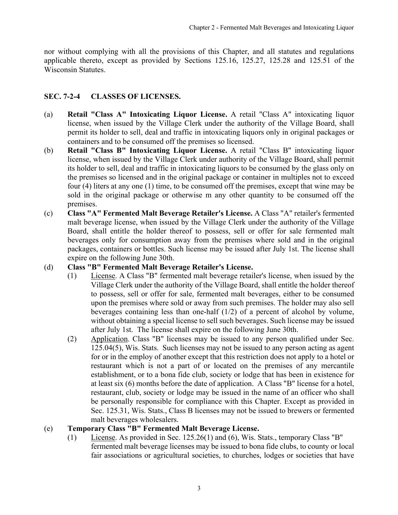<span id="page-2-0"></span>nor without complying with all the provisions of this Chapter, and all statutes and regulations applicable thereto, except as provided by Sections 125.16, 125.27, 125.28 and 125.51 of the Wisconsin Statutes.

### **SEC. 7-2-4 CLASSES OF LICENSES.**

- (a) **Retail "Class A" Intoxicating Liquor License.** A retail "Class A" intoxicating liquor license, when issued by the Village Clerk under the authority of the Village Board, shall permit its holder to sell, deal and traffic in intoxicating liquors only in original packages or containers and to be consumed off the premises so licensed.
- (b) **Retail "Class B" Intoxicating Liquor License.** A retail "Class B" intoxicating liquor license, when issued by the Village Clerk under authority of the Village Board, shall permit its holder to sell, deal and traffic in intoxicating liquors to be consumed by the glass only on the premises so licensed and in the original package or container in multiples not to exceed four (4) liters at any one (1) time, to be consumed off the premises, except that wine may be sold in the original package or otherwise m any other quantity to be consumed off the premises.
- (c) **Class "A" Fermented Malt Beverage Retailer's License.** A Class "A" retailer's fermented malt beverage license, when issued by the Village Clerk under the authority of the Village Board, shall entitle the holder thereof to possess, sell or offer for sale fermented malt beverages only for consumption away from the premises where sold and in the original packages, containers or bottles. Such license may be issued after July 1st. The license shall expire on the following June 30th.

### (d) **Class "B" Fermented Malt Beverage Retailer's License.**

- (1) License. A Class "B" fermented malt beverage retailer's license, when issued by the Village Clerk under the authority of the Village Board, shall entitle the holder thereof to possess, sell or offer for sale, fermented malt beverages, either to be consumed upon the premises where sold or away from such premises. The holder may also sell beverages containing less than one-half (1/2) of a percent of alcohol by volume, without obtaining a special license to sell such beverages. Such license may be issued after July 1st. The license shall expire on the following June 30th.
- (2) Application. Class "B" licenses may be issued to any person qualified under Sec. 125.04(5), Wis. Stats. Such licenses may not be issued to any person acting as agent for or in the employ of another except that this restriction does not apply to a hotel or restaurant which is not a part of or located on the premises of any mercantile establishment, or to a bona fide club, society or lodge that has been in existence for at least six (6) months before the date of application. A Class "B" license for a hotel, restaurant, club, society or lodge may be issued in the name of an officer who shall be personally responsible for compliance with this Chapter. Except as provided in Sec. 125.31, Wis. Stats., Class B licenses may not be issued to brewers or fermented malt beverages wholesalers.

### (e) **Temporary Class "B" Fermented Malt Beverage License.**

(1) License. As provided in Sec. 125.26(1) and (6), Wis. Stats., temporary Class "B'' fermented malt beverage licenses may be issued to bona fide clubs, to county or local fair associations or agricultural societies, to churches, lodges or societies that have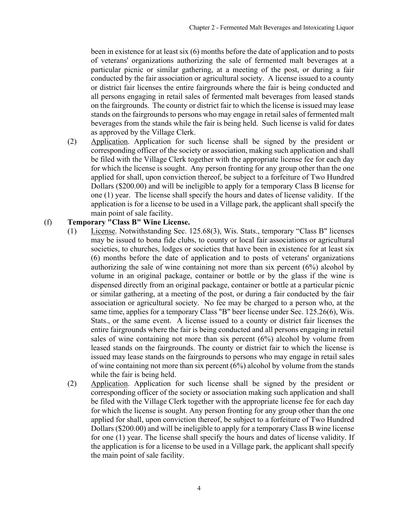been in existence for at least six (6) months before the date of application and to posts of veterans' organizations authorizing the sale of fermented malt beverages at a particular picnic or similar gathering, at a meeting of the post, or during a fair conducted by the fair association or agricultural society. A license issued to a county or district fair licenses the entire fairgrounds where the fair is being conducted and all persons engaging in retail sales of fermented malt beverages from leased stands on the fairgrounds. The county or district fair to which the license is issued may lease stands on the fairgrounds to persons who may engage in retail sales of fermented malt beverages from the stands while the fair is being held. Such license is valid for dates as approved by the Village Clerk.

(2) Application. Application for such license shall be signed by the president or corresponding officer of the society or association, making such application and shall be filed with the Village Clerk together with the appropriate license fee for each day for which the license is sought. Any person fronting for any group other than the one applied for shall, upon conviction thereof, be subject to a forfeiture of Two Hundred Dollars (\$200.00) and will be ineligible to apply for a temporary Class B license for one (1) year. The license shall specify the hours and dates of license validity. If the application is for a license to be used in a Village park, the applicant shall specify the main point of sale facility.

### (f) **Temporary "Class B" Wine License.**

- (1) License. Notwithstanding Sec. 125.68(3), Wis. Stats., temporary "Class B" licenses may be issued to bona fide clubs, to county or local fair associations or agricultural societies, to churches, lodges or societies that have been in existence for at least six (6) months before the date of application and to posts of veterans' organizations authorizing the sale of wine containing not more than six percent (6%) alcohol by volume in an original package, container or bottle or by the glass if the wine is dispensed directly from an original package, container or bottle at a particular picnic or similar gathering, at a meeting of the post, or during a fair conducted by the fair association or agricultural society. No fee may be charged to a person who, at the same time, applies for a temporary Class "B" beer license under Sec. 125.26(6), Wis. Stats., or the same event. A license issued to a county or district fair licenses the entire fairgrounds where the fair is being conducted and all persons engaging in retail sales of wine containing not more than six percent (6%) alcohol by volume from leased stands on the fairgrounds. The county or district fair to which the license is issued may lease stands on the fairgrounds to persons who may engage in retail sales of wine containing not more than six percent (6%) alcohol by volume from the stands while the fair is being held.
- (2) Application. Application for such license shall be signed by the president or corresponding officer of the society or association making such application and shall be filed with the Village Clerk together with the appropriate license fee for each day for which the license is sought. Any person fronting for any group other than the one applied for shall, upon conviction thereof, be subject to a forfeiture of Two Hundred Dollars (\$200.00) and will be ineligible to apply for a temporary Class B wine license for one (1) year. The license shall specify the hours and dates of license validity. If the application is for a license to be used in a Village park, the applicant shall specify the main point of sale facility.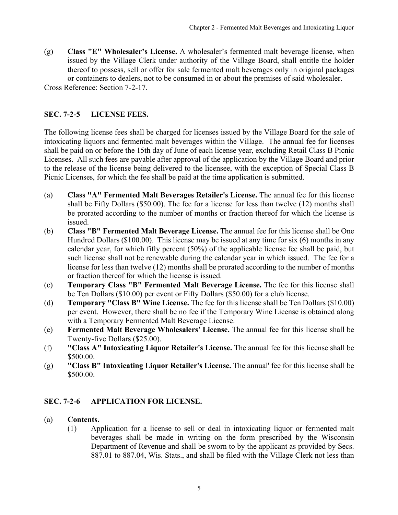<span id="page-4-0"></span>(g) **Class "E" Wholesaler's License.** A wholesaler's fermented malt beverage license, when issued by the Village Clerk under authority of the Village Board, shall entitle the holder thereof to possess, sell or offer for sale fermented malt beverages only in original packages or containers to dealers, not to be consumed in or about the premises of said wholesaler. Cross Reference: Section 7-2-17.

**SEC. 7-2-5 LICENSE FEES.**

The following license fees shall be charged for licenses issued by the Village Board for the sale of intoxicating liquors and fermented malt beverages within the Village. The annual fee for licenses shall be paid on or before the 15th day of June of each license year, excluding Retail Class B Picnic Licenses. All such fees are payable after approval of the application by the Village Board and prior to the release of the license being delivered to the licensee, with the exception of Special Class B Picnic Licenses, for which the fee shall be paid at the time application is submitted.

- (a) **Class "A" Fermented Malt Beverages Retailer's License.** The annual fee for this license shall be Fifty Dollars (\$50.00). The fee for a license for less than twelve (12) months shall be prorated according to the number of months or fraction thereof for which the license is issued.
- (b) **Class "B" Fermented Malt Beverage License.** The annual fee for this license shall be One Hundred Dollars (\$100.00). This license may be issued at any time for six (6) months in any calendar year, for which fifty percent (50%) of the applicable license fee shall be paid, but such license shall not be renewable during the calendar year in which issued. The fee for a license for less than twelve (12) months shall be prorated according to the number of months or fraction thereof for which the license is issued.
- (c) **Temporary Class "B" Fermented Malt Beverage License.** The fee for this license shall be Ten Dollars (\$10.00) per event or Fifty Dollars (\$50.00) for a club license.
- (d) **Temporary "Class B" Wine License.** The fee for this license shall be Ten Dollars (\$10.00) per event. However, there shall be no fee if the Temporary Wine License is obtained along with a Temporary Fermented Malt Beverage License.
- (e) **Fermented Malt Beverage Wholesalers' License.** The annual fee for this license shall be Twenty-five Dollars (\$25.00).
- (f) **"Class A" Intoxicating Liquor Retailer's License.** The annual fee for this license shall be \$500.00.
- (g) **"Class B" Intoxicating Liquor Retailer's License.** The annual' fee for this license shall be \$500.00.

## **SEC. 7-2-6 APPLICATION FOR LICENSE.**

## (a) **Contents.**

(1) Application for a license to sell or deal in intoxicating liquor or fermented malt beverages shall be made in writing on the form prescribed by the Wisconsin Department of Revenue and shall be sworn to by the applicant as provided by Secs. 887.01 to 887.04, Wis. Stats., and shall be filed with the Village Clerk not less than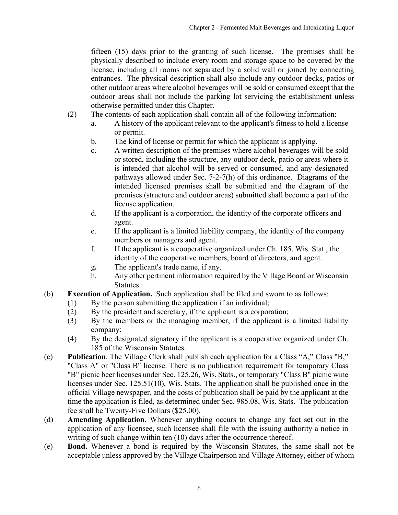fifteen (15) days prior to the granting of such license. The premises shall be physically described to include every room and storage space to be covered by the license, including all rooms not separated by a solid wall or joined by connecting entrances. The physical description shall also include any outdoor decks, patios or other outdoor areas where alcohol beverages will be sold or consumed except that the outdoor areas shall not include the parking lot servicing the establishment unless otherwise permitted under this Chapter.

- (2) The contents of each application shall contain all of the following information:
	- a. A history of the applicant relevant to the applicant's fitness to hold a license or permit.
	- b. The kind of license or permit for which the applicant is applying.
	- c. A written description of the premises where alcohol beverages will be sold or stored, including the structure, any outdoor deck, patio or areas where it is intended that alcohol will be served or consumed, and any designated pathways allowed under Sec. 7-2-7(h) of this ordinance. Diagrams of the intended licensed premises shall be submitted and the diagram of the premises (structure and outdoor areas) submitted shall become a part of the license application.
	- d. If the applicant is a corporation, the identity of the corporate officers and agent.
	- e. If the applicant is a limited liability company, the identity of the company members or managers and agent.
	- f. If the applicant is a cooperative organized under Ch. 185, Wis. Stat., the identity of the cooperative members, board of directors, and agent.
	- g**.** The applicant's trade name, if any.
	- h. Any other pertinent information required by the Village Board or Wisconsin Statutes.
- (b) **Execution of Application.** Such application shall be filed and sworn to as follows:
	- (1) By the person submitting the application if an individual;
	- (2) By the president and secretary, if the applicant is a corporation;
	- (3) By the members or the managing member, if the applicant is a limited liability company;
	- (4) By the designated signatory if the applicant is a cooperative organized under Ch. 185 of the Wisconsin Statutes.
- (c) **Publication**. The Village Clerk shall publish each application for a Class "A," Class "B," "Class A" or "Class B" license. There is no publication requirement for temporary Class "B" picnic beer licenses under Sec. 125.26, Wis. Stats., or temporary "Class B" picnic wine licenses under Sec. 125.51(10), Wis. Stats. The application shall be published once in the official Village newspaper, and the costs of publication shall be paid by the applicant at the time the application is filed, as determined under Sec. 985.08, Wis. Stats. The publication fee shall be Twenty-Five Dollars (\$25.00).
- (d) **Amending Application.** Whenever anything occurs to change any fact set out in the application of any licensee, such licensee shall file with the issuing authority a notice in writing of such change within ten (10) days after the occurrence thereof.
- (e) **Bond.** Whenever a bond is required by the Wisconsin Statutes, the same shall not be acceptable unless approved by the Village Chairperson and Village Attorney, either of whom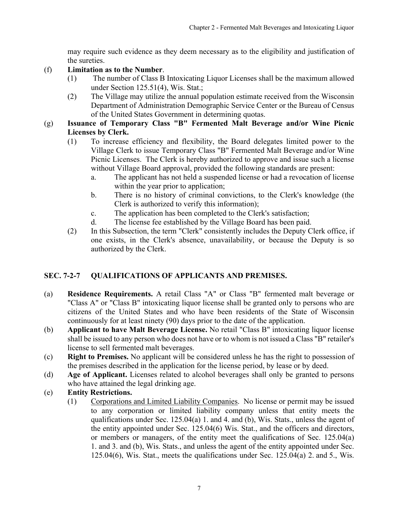may require such evidence as they deem necessary as to the eligibility and justification of the sureties.

- <span id="page-6-0"></span>(f) **Limitation as to the Number**.
	- (1) The number of Class B Intoxicating Liquor Licenses shall be the maximum allowed under Section 125.51(4), Wis. Stat.;
	- (2) The Village may utilize the annual population estimate received from the Wisconsin Department of Administration Demographic Service Center or the Bureau of Census of the United States Government in determining quotas.
- (g) **Issuance of Temporary Class "B" Fermented Malt Beverage and/or Wine Picnic Licenses by Clerk.** 
	- (1) To increase efficiency and flexibility, the Board delegates limited power to the Village Clerk to issue Temporary Class "B" Fermented Malt Beverage and/or Wine Picnic Licenses. The Clerk is hereby authorized to approve and issue such a license without Village Board approval, provided the following standards are present:
		- a. The applicant has not held a suspended license or had a revocation of license within the year prior to application;
		- b. There is no history of criminal convictions, to the Clerk's knowledge (the Clerk is authorized to verify this information);
		- c. The application has been completed to the Clerk's satisfaction;
		- d. The license fee established by the Village Board has been paid.
	- (2) In this Subsection, the term "Clerk" consistently includes the Deputy Clerk office, if one exists, in the Clerk's absence, unavailability, or because the Deputy is so authorized by the Clerk.

## **SEC. 7-2-7 QUALIFICATIONS OF APPLICANTS AND PREMISES.**

- (a) **Residence Requirements.** A retail Class "A" or Class "B" fermented malt beverage or "Class A" or "Class B" intoxicating liquor license shall be granted only to persons who are citizens of the United States and who have been residents of the State of Wisconsin continuously for at least ninety (90) days prior to the date of the application.
- (b) **Applicant to have Malt Beverage License.** No retail "Class B" intoxicating liquor license shall be issued to any person who does not have or to whom is not issued a Class "B" retailer's license to sell fermented malt beverages.
- (c) **Right to Premises.** No applicant will be considered unless he has the right to possession of the premises described in the application for the license period, by lease or by deed.
- (d) **Age of Applicant.** Licenses related to alcohol beverages shall only be granted to persons who have attained the legal drinking age.
- (e) **Entity Restrictions.**
	- (1) Corporations and Limited Liability Companies. No license or permit may be issued to any corporation or limited liability company unless that entity meets the qualifications under Sec. 125.04(a) 1. and 4. and (b), Wis. Stats., unless the agent of the entity appointed under Sec. 125.04(6) Wis. Stat., and the officers and directors, or members or managers, of the entity meet the qualifications of Sec. 125.04(a) 1. and 3. and (b), Wis. Stats., and unless the agent of the entity appointed under Sec. 125.04(6), Wis. Stat., meets the qualifications under Sec. 125.04(a) 2. and 5., Wis.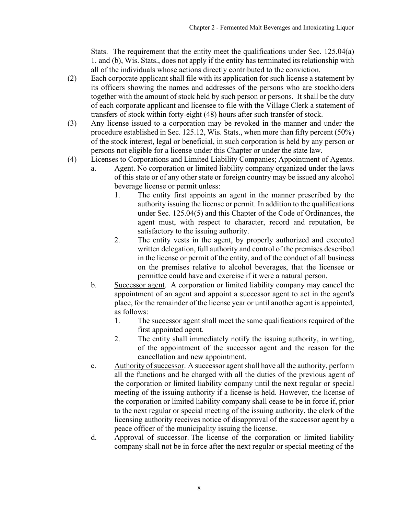Stats. The requirement that the entity meet the qualifications under Sec. 125.04(a) 1. and (b), Wis. Stats., does not apply if the entity has terminated its relationship with all of the individuals whose actions directly contributed to the conviction.

- (2) Each corporate applicant shall file with its application for such license a statement by its officers showing the names and addresses of the persons who are stockholders together with the amount of stock held by such person or persons. It shall be the duty of each corporate applicant and licensee to file with the Village Clerk a statement of transfers of stock within forty-eight (48) hours after such transfer of stock.
- (3) Any license issued to a corporation may be revoked in the manner and under the procedure established in Sec. 125.12, Wis. Stats., when more than fifty percent (50%) of the stock interest, legal or beneficial, in such corporation is held by any person or persons not eligible for a license under this Chapter or under the state law.
- (4) Licenses to Corporations and Limited Liability Companies; Appointment of Agents.
	- a. Agent. No corporation or limited liability company organized under the laws of this state or of any other state or foreign country may be issued any alcohol beverage license or permit unless:
		- 1. The entity first appoints an agent in the manner prescribed by the authority issuing the license or permit. In addition to the qualifications under Sec. 125.04(5) and this Chapter of the Code of Ordinances, the agent must, with respect to character, record and reputation, be satisfactory to the issuing authority.
		- 2. The entity vests in the agent, by properly authorized and executed written delegation, full authority and control of the premises described in the license or permit of the entity, and of the conduct of all business on the premises relative to alcohol beverages, that the licensee or permittee could have and exercise if it were a natural person.
	- b. Successor agent. A corporation or limited liability company may cancel the appointment of an agent and appoint a successor agent to act in the agent's place, for the remainder of the license year or until another agent is appointed, as follows:
		- 1. The successor agent shall meet the same qualifications required of the first appointed agent.
		- 2. The entity shall immediately notify the issuing authority, in writing, of the appointment of the successor agent and the reason for the cancellation and new appointment.
	- c. Authority of successor. A successor agent shall have all the authority, perform all the functions and be charged with all the duties of the previous agent of the corporation or limited liability company until the next regular or special meeting of the issuing authority if a license is held. However, the license of the corporation or limited liability company shall cease to be in force if, prior to the next regular or special meeting of the issuing authority, the clerk of the licensing authority receives notice of disapproval of the successor agent by a peace officer of the municipality issuing the license.
	- d. Approval of successor. The license of the corporation or limited liability company shall not be in force after the next regular or special meeting of the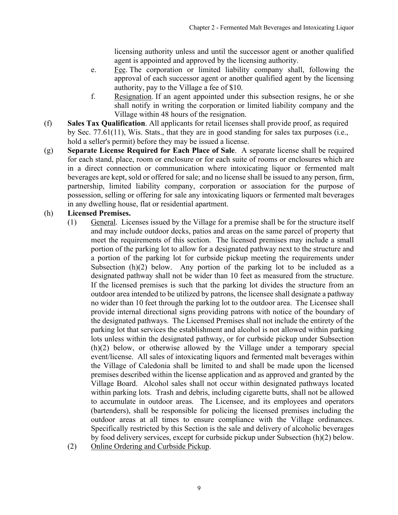licensing authority unless and until the successor agent or another qualified agent is appointed and approved by the licensing authority.

- e. Fee. The corporation or limited liability company shall, following the approval of each successor agent or another qualified agent by the licensing authority, pay to the Village a fee of \$10.
- f. Resignation. If an agent appointed under this subsection resigns, he or she shall notify in writing the corporation or limited liability company and the Village within 48 hours of the resignation.
- (f) **Sales Tax Qualification**. All applicants for retail licenses shall provide proof, as required by Sec. 77.61(11), Wis. Stats., that they are in good standing for sales tax purposes (i.e., hold a seller's permit) before they may be issued a license.
- (g) **Separate License Required for Each Place of Sale**. A separate license shall be required for each stand, place, room or enclosure or for each suite of rooms or enclosures which are in a direct connection or communication where intoxicating liquor or fermented malt beverages are kept, sold or offered for sale; and no license shall be issued to any person, firm, partnership, limited liability company, corporation or association for the purpose of possession, selling or offering for sale any intoxicating liquors or fermented malt beverages in any dwelling house, flat or residential apartment.

## (h) **Licensed Premises.**

- (1) General. Licenses issued by the Village for a premise shall be for the structure itself and may include outdoor decks, patios and areas on the same parcel of property that meet the requirements of this section. The licensed premises may include a small portion of the parking lot to allow for a designated pathway next to the structure and a portion of the parking lot for curbside pickup meeting the requirements under Subsection  $(h)(2)$  below. Any portion of the parking lot to be included as a designated pathway shall not be wider than 10 feet as measured from the structure. If the licensed premises is such that the parking lot divides the structure from an outdoor area intended to be utilized by patrons, the licensee shall designate a pathway no wider than 10 feet through the parking lot to the outdoor area. The Licensee shall provide internal directional signs providing patrons with notice of the boundary of the designated pathways. The Licensed Premises shall not include the entirety of the parking lot that services the establishment and alcohol is not allowed within parking lots unless within the designated pathway, or for curbside pickup under Subsection (h)(2) below, or otherwise allowed by the Village under a temporary special event/license. All sales of intoxicating liquors and fermented malt beverages within the Village of Caledonia shall be limited to and shall be made upon the licensed premises described within the license application and as approved and granted by the Village Board. Alcohol sales shall not occur within designated pathways located within parking lots. Trash and debris, including cigarette butts, shall not be allowed to accumulate in outdoor areas. The Licensee, and its employees and operators (bartenders), shall be responsible for policing the licensed premises including the outdoor areas at all times to ensure compliance with the Village ordinances. Specifically restricted by this Section is the sale and delivery of alcoholic beverages by food delivery services, except for curbside pickup under Subsection (h)(2) below.
- (2) Online Ordering and Curbside Pickup.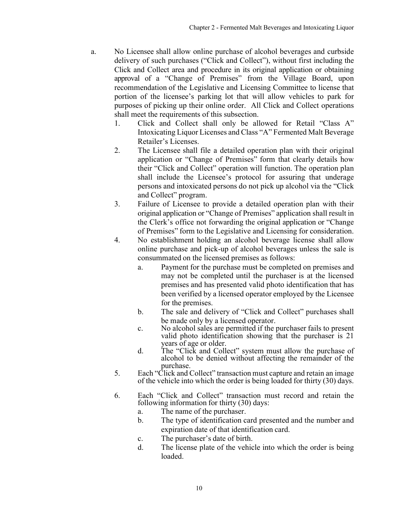- a. No Licensee shall allow online purchase of alcohol beverages and curbside delivery of such purchases ("Click and Collect"), without first including the Click and Collect area and procedure in its original application or obtaining approval of a "Change of Premises" from the Village Board, upon recommendation of the Legislative and Licensing Committee to license that portion of the licensee's parking lot that will allow vehicles to park for purposes of picking up their online order. All Click and Collect operations shall meet the requirements of this subsection.
	- 1. Click and Collect shall only be allowed for Retail "Class A" Intoxicating Liquor Licenses and Class "A" Fermented Malt Beverage Retailer's Licenses.
	- 2. The Licensee shall file a detailed operation plan with their original application or "Change of Premises" form that clearly details how their "Click and Collect" operation will function. The operation plan shall include the Licensee's protocol for assuring that underage persons and intoxicated persons do not pick up alcohol via the "Click and Collect" program.
	- 3. Failure of Licensee to provide a detailed operation plan with their original application or "Change of Premises" application shall result in the Clerk's office not forwarding the original application or "Change of Premises" form to the Legislative and Licensing for consideration.
	- 4. No establishment holding an alcohol beverage license shall allow online purchase and pick-up of alcohol beverages unless the sale is consummated on the licensed premises as follows:
		- a. Payment for the purchase must be completed on premises and may not be completed until the purchaser is at the licensed premises and has presented valid photo identification that has been verified by a licensed operator employed by the Licensee for the premises.
		- b. The sale and delivery of "Click and Collect" purchases shall
		- be made only by a licensed operator.<br>
		c. No alcohol sales are permitted if the purchaser fails to present valid photo identification showing that the purchaser is 21
		- d. The "Click and Collect" system must allow the purchase of alcohol to be denied without affecting the remainder of the purchase.
	- 5. Each "Click and Collect" transaction must capture and retain an image of the vehicle into which the order is being loaded for thirty (30) days.
	- 6. Each "Click and Collect" transaction must record and retain the following information for thirty (30) days:
		- a. The name of the purchaser.
		- b. The type of identification card presented and the number and expiration date of that identification card.
		- c. The purchaser's date of birth.
		- d. The license plate of the vehicle into which the order is being loaded.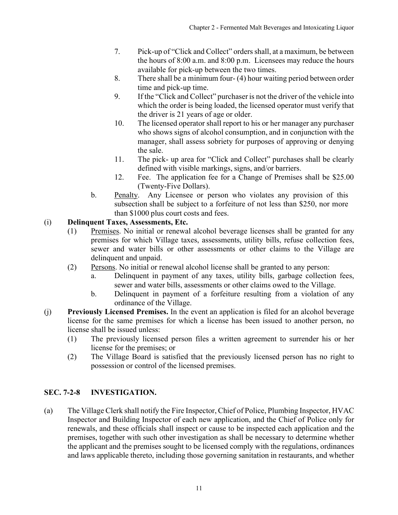- <span id="page-10-0"></span>7. Pick-up of "Click and Collect" ordersshall, at a maximum, be between the hours of 8:00 a.m. and 8:00 p.m. Licensees may reduce the hours available for pick-up between the two times.
- 8. There shall be a minimum four- (4) hour waiting period between order time and pick-up time.
- 9. If the "Click and Collect" purchaser is not the driver of the vehicle into which the order is being loaded, the licensed operator must verify that the driver is 21 years of age or older.
- 10. The licensed operator shall report to his or her manager any purchaser who shows signs of alcohol consumption, and in conjunction with the manager, shall assess sobriety for purposes of approving or denying the sale.
- 11. The pick- up area for "Click and Collect" purchases shall be clearly defined with visible markings, signs, and/or barriers.
- 12. Fee. The application fee for a Change of Premises shall be \$25.00 (Twenty-Five Dollars).
- b. Penalty. Any Licensee or person who violates any provision of this subsection shall be subject to a forfeiture of not less than \$250, nor more than \$1000 plus court costs and fees.

## (i) **Delinquent Taxes, Assessments, Etc.**

- (1) Premises. No initial or renewal alcohol beverage licenses shall be granted for any premises for which Village taxes, assessments, utility bills, refuse collection fees, sewer and water bills or other assessments or other claims to the Village are delinquent and unpaid.
- (2) Persons. No initial or renewal alcohol license shall be granted to any person:
	- a. Delinquent in payment of any taxes, utility bills, garbage collection fees, sewer and water bills, assessments or other claims owed to the Village.
	- b. Delinquent in payment of a forfeiture resulting from a violation of any ordinance of the Village.
- (j) **Previously Licensed Premises.** In the event an application is filed for an alcohol beverage license for the same premises for which a license has been issued to another person, no license shall be issued unless:
	- (1) The previously licensed person files a written agreement to surrender his or her license for the premises; or
	- (2) The Village Board is satisfied that the previously licensed person has no right to possession or control of the licensed premises.

## **SEC. 7-2-8 INVESTIGATION.**

(a) The Village Clerk shall notify the Fire Inspector, Chief of Police, Plumbing Inspector, HVAC Inspector and Building Inspector of each new application, and the Chief of Police only for renewals, and these officials shall inspect or cause to be inspected each application and the premises, together with such other investigation as shall be necessary to determine whether the applicant and the premises sought to be licensed comply with the regulations, ordinances and laws applicable thereto, including those governing sanitation in restaurants, and whether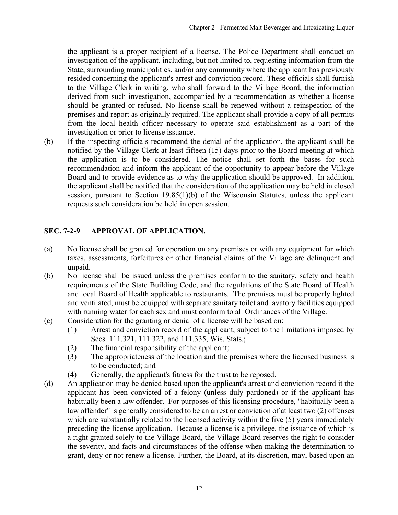<span id="page-11-0"></span>the applicant is a proper recipient of a license. The Police Department shall conduct an investigation of the applicant, including, but not limited to, requesting information from the State, surrounding municipalities, and/or any community where the applicant has previously resided concerning the applicant's arrest and conviction record. These officials shall furnish to the Village Clerk in writing, who shall forward to the Village Board, the information derived from such investigation, accompanied by a recommendation as whether a license should be granted or refused. No license shall be renewed without a reinspection of the premises and report as originally required. The applicant shall provide a copy of all permits from the local health officer necessary to operate said establishment as a part of the investigation or prior to license issuance.

(b) If the inspecting officials recommend the denial of the application, the applicant shall be notified by the Village Clerk at least fifteen (15) days prior to the Board meeting at which the application is to be considered. The notice shall set forth the bases for such recommendation and inform the applicant of the opportunity to appear before the Village Board and to provide evidence as to why the application should be approved. In addition, the applicant shall be notified that the consideration of the application may be held in closed session, pursuant to Section 19.85(1)(b) of the Wisconsin Statutes, unless the applicant requests such consideration be held in open session.

### **SEC. 7-2-9 APPROVAL OF APPLICATION.**

- (a) No license shall be granted for operation on any premises or with any equipment for which taxes, assessments, forfeitures or other financial claims of the Village are delinquent and unpaid.
- (b) No license shall be issued unless the premises conform to the sanitary, safety and health requirements of the State Building Code, and the regulations of the State Board of Health and local Board of Health applicable to restaurants. The premises must be properly lighted and ventilated, must be equipped with separate sanitary toilet and lavatory facilities equipped with running water for each sex and must conform to all Ordinances of the Village.
- (c) Consideration for the granting or denial of a license will be based on:
	- (1) Arrest and conviction record of the applicant, subject to the limitations imposed by Secs. 111.321, 111.322, and 111.335, Wis. Stats.;
	- (2) The financial responsibility of the applicant;
	- (3) The appropriateness of the location and the premises where the licensed business is to be conducted; and
	- (4) Generally, the applicant's fitness for the trust to be reposed.
- (d) An application may be denied based upon the applicant's arrest and conviction record it the applicant has been convicted of a felony (unless duly pardoned) or if the applicant has habitually been a law offender. For purposes of this licensing procedure, "habitually been a law offender" is generally considered to be an arrest or conviction of at least two (2) offenses which are substantially related to the licensed activity within the five (5) years immediately preceding the license application. Because a license is a privilege, the issuance of which is a right granted solely to the Village Board, the Village Board reserves the right to consider the severity, and facts and circumstances of the offense when making the determination to grant, deny or not renew a license. Further, the Board, at its discretion, may, based upon an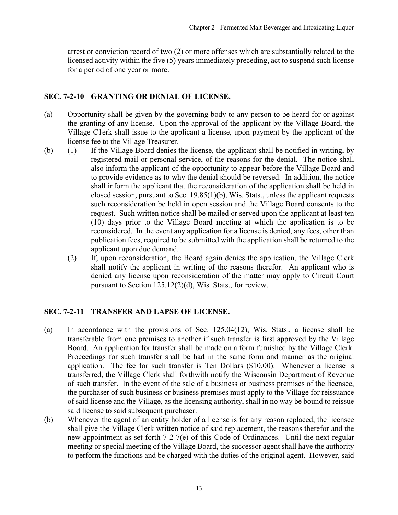<span id="page-12-0"></span>arrest or conviction record of two (2) or more offenses which are substantially related to the licensed activity within the five (5) years immediately preceding, act to suspend such license for a period of one year or more.

### **SEC. 7-2-10 GRANTING OR DENIAL OF LICENSE.**

- (a) Opportunity shall be given by the governing body to any person to be heard for or against the granting of any license. Upon the approval of the applicant by the Village Board, the Village C1erk shall issue to the applicant a license, upon payment by the applicant of the license fee to the Village Treasurer.
- (b) (1) If the Village Board denies the license, the applicant shall be notified in writing, by registered mail or personal service, of the reasons for the denial. The notice shall also inform the applicant of the opportunity to appear before the Village Board and to provide evidence as to why the denial should be reversed. In addition, the notice shall inform the applicant that the reconsideration of the application shall be held in closed session, pursuant to Sec. 19.85(1)(b), Wis. Stats., unless the applicant requests such reconsideration be held in open session and the Village Board consents to the request. Such written notice shall be mailed or served upon the applicant at least ten (10) days prior to the Village Board meeting at which the application is to be reconsidered. In the event any application for a license is denied, any fees, other than publication fees, required to be submitted with the application shall be returned to the applicant upon due demand.
	- (2) If, upon reconsideration, the Board again denies the application, the Village Clerk shall notify the applicant in writing of the reasons therefor. An applicant who is denied any license upon reconsideration of the matter may apply to Circuit Court pursuant to Section 125.12(2)(d), Wis. Stats., for review.

### **SEC. 7-2-11 TRANSFER AND LAPSE OF LICENSE.**

- (a) In accordance with the provisions of Sec. 125.04(12), Wis. Stats., a license shall be transferable from one premises to another if such transfer is first approved by the Village Board. An application for transfer shall be made on a form furnished by the Village Clerk. Proceedings for such transfer shall be had in the same form and manner as the original application. The fee for such transfer is Ten Dollars (\$10.00). Whenever a license is transferred, the Village Clerk shall forthwith notify the Wisconsin Department of Revenue of such transfer. In the event of the sale of a business or business premises of the licensee, the purchaser of such business or business premises must apply to the Village for reissuance of said license and the Village, as the licensing authority, shall in no way be bound to reissue said license to said subsequent purchaser.
- (b) Whenever the agent of an entity holder of a license is for any reason replaced, the licensee shall give the Village Clerk written notice of said replacement, the reasons therefor and the new appointment as set forth 7-2-7(e) of this Code of Ordinances. Until the next regular meeting or special meeting of the Village Board, the successor agent shall have the authority to perform the functions and be charged with the duties of the original agent. However, said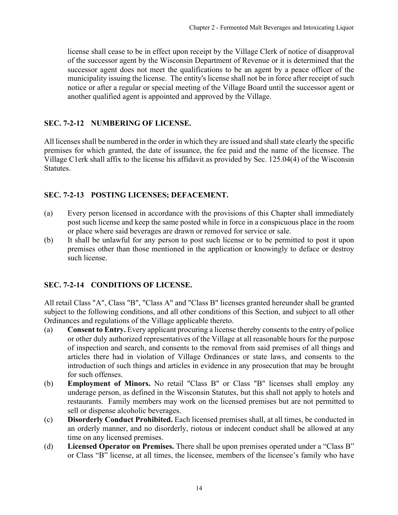<span id="page-13-0"></span>license shall cease to be in effect upon receipt by the Village Clerk of notice of disapproval of the successor agent by the Wisconsin Department of Revenue or it is determined that the successor agent does not meet the qualifications to be an agent by a peace officer of the municipality issuing the license. The entity's license shall not be in force after receipt of such notice or after a regular or special meeting of the Village Board until the successor agent or another qualified agent is appointed and approved by the Village.

### **SEC. 7-2-12 NUMBERING OF LICENSE.**

All licenses shall be numbered in the order in which they are issued and shall state clearly the specific premises for which granted, the date of issuance, the fee paid and the name of the licensee. The Village C1erk shall affix to the license his affidavit as provided by Sec. 125.04(4) of the Wisconsin Statutes.

### **SEC. 7-2-13 POSTING LICENSES; DEFACEMENT.**

- (a) Every person licensed in accordance with the provisions of this Chapter shall immediately post such license and keep the same posted while in force in a conspicuous place in the room or place where said beverages are drawn or removed for service or sale.
- (b) It shall be unlawful for any person to post such license or to be permitted to post it upon premises other than those mentioned in the application or knowingly to deface or destroy such license.

### **SEC. 7-2-14 CONDITIONS OF LICENSE.**

All retail Class "A", Class "B", "Class A" and "Class B" licenses granted hereunder shall be granted subject to the following conditions, and all other conditions of this Section, and subject to all other Ordinances and regulations of the Village applicable thereto.

- (a) **Consent to Entry.** Every applicant procuring a license thereby consents to the entry of police or other duly authorized representatives of the Village at all reasonable hours for the purpose of inspection and search, and consents to the removal from said premises of all things and articles there had in violation of Village Ordinances or state laws, and consents to the introduction of such things and articles in evidence in any prosecution that may be brought for such offenses.
- (b) **Employment of Minors.** No retail "Class B" or Class "B" licenses shall employ any underage person, as defined in the Wisconsin Statutes, but this shall not apply to hotels and restaurants. Family members may work on the licensed premises but are not permitted to sell or dispense alcoholic beverages.
- (c) **Disorderly Conduct Prohibited.** Each licensed premises shall, at all times, be conducted in an orderly manner, and no disorderly, riotous or indecent conduct shall be allowed at any time on any licensed premises.
- (d) **Licensed Operator on Premises.** There shall be upon premises operated under a "Class B" or Class "B" license, at all times, the licensee, members of the licensee's family who have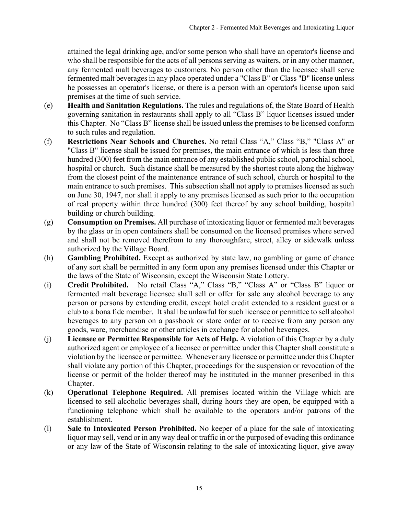attained the legal drinking age, and/or some person who shall have an operator's license and who shall be responsible for the acts of all persons serving as waiters, or in any other manner, any fermented malt beverages to customers. No person other than the licensee shall serve fermented malt beverages in any place operated under a "Class B" or Class "B" license unless he possesses an operator's license, or there is a person with an operator's license upon said premises at the time of such service.

- (e) **Health and Sanitation Regulations.** The rules and regulations of, the State Board of Health governing sanitation in restaurants shall apply to all "Class B" liquor licenses issued under this Chapter. No "Class B" license shall be issued unless the premises to be licensed conform to such rules and regulation.
- (f) **Restrictions Near Schools and Churches.** No retail Class "A," Class "B," "Class A" or "Class B" license shall be issued for premises, the main entrance of which is less than three hundred (300) feet from the main entrance of any established public school, parochial school, hospital or church. Such distance shall be measured by the shortest route along the highway from the closest point of the maintenance entrance of such school, church or hospital to the main entrance to such premises. This subsection shall not apply to premises licensed as such on June 30, 1947, nor shall it apply to any premises licensed as such prior to the occupation of real property within three hundred (300) feet thereof by any school building, hospital building or church building.
- (g) **Consumption on Premises.** All purchase of intoxicating liquor or fermented malt beverages by the glass or in open containers shall be consumed on the licensed premises where served and shall not be removed therefrom to any thoroughfare, street, alley or sidewalk unless authorized by the Village Board.
- (h) **Gambling Prohibited.** Except as authorized by state law, no gambling or game of chance of any sort shall be permitted in any form upon any premises licensed under this Chapter or the laws of the State of Wisconsin, except the Wisconsin State Lottery.
- (i) **Credit Prohibited.** No retail Class "A," Class "B," "Class A" or "Class B" liquor or fermented malt beverage licensee shall sell or offer for sale any alcohol beverage to any person or persons by extending credit, except hotel credit extended to a resident guest or a club to a bona fide member. It shall be unlawful for such licensee or permittee to sell alcohol beverages to any person on a passbook or store order or to receive from any person any goods, ware, merchandise or other articles in exchange for alcohol beverages.
- (j) **Licensee or Permittee Responsible for Acts of Help.** A violation of this Chapter by a duly authorized agent or employee of a licensee or permittee under this Chapter shall constitute a violation by the licensee or permittee. Whenever any licensee or permittee under this Chapter shall violate any portion of this Chapter, proceedings for the suspension or revocation of the license or permit of the holder thereof may be instituted in the manner prescribed in this Chapter.
- (k) **Operational Telephone Required.** All premises located within the Village which are licensed to sell alcoholic beverages shall, during hours they are open, be equipped with a functioning telephone which shall be available to the operators and/or patrons of the establishment.
- (l) **Sale to Intoxicated Person Prohibited.** No keeper of a place for the sale of intoxicating liquor may sell, vend or in any way deal or traffic in or the purposed of evading this ordinance or any law of the State of Wisconsin relating to the sale of intoxicating liquor, give away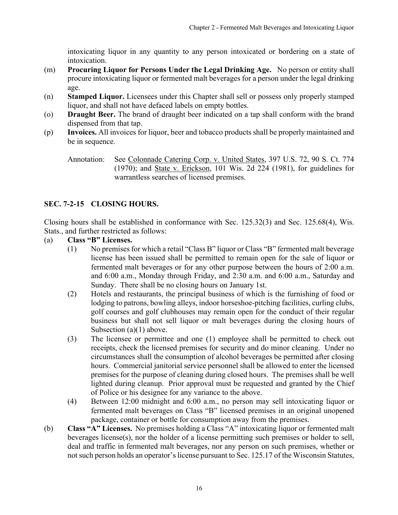intoxicating liquor in any quantity to any person intoxicated or bordering on a state of intoxication.

- <span id="page-15-0"></span>(m) **Procuring Liquor for Persons Under the Legal Drinking Age.** No person or entity shall procure intoxicating liquor or fermented malt beverages for a person under the legal drinking age.
- (n) **Stamped Liquor.** Licensees under this Chapter shall sell or possess only properly stamped liquor, and shall not have defaced labels on empty bottles.
- (o) **Draught Beer.** The brand of draught beer indicated on a tap shall conform with the brand dispensed from that tap.
- (p) **Invoices.** All invoices for liquor, beer and tobacco products shall be properly maintained and be in sequence.

## **SEC. 7-2-15 CLOSING HOURS.**

Closing hours shall be established in conformance with Sec. 125.32(3) and Sec. 125.68(4), Wis. Stats., and further restricted as follows:

- (a) **Class "B" Licenses.**
	- (1) No premises for which a retail "Class B" liquor or Class "B" fermented malt beverage license has been issued shall be permitted to remain open for the sale of liquor or fermented malt beverages or for any other purpose between the hours of 2:00 a.m. and 6:00 a.m., Monday through Friday, and 2:30 a.m. and 6:00 a.m., Saturday and Sunday. There shall be no closing hours on January 1st.
	- (2) Hotels and restaurants, the principal business of which is the furnishing of food or lodging to patrons, bowling alleys, indoor horseshoe-pitching facilities, curling clubs, golf courses and golf clubhouses may remain open for the conduct of their regular business but shall not sell liquor or malt beverages during the closing hours of Subsection (a)(1) above.
	- (3) The licensee or permittee and one (1) employee shall be permitted to check out receipts, check the licensed premises for security and do minor cleaning. Under no circumstances shall the consumption of alcohol beverages be permitted after closing hours. Commercial janitorial service personnel shall be allowed to enter the licensed premises for the purpose of cleaning during closed hours. The premises shall be well lighted during cleanup. Prior approval must be requested and granted by the Chief of Police or his designee for any variance to the above.
	- (4) Between 12:00 midnight and 6:00 a.m., no person may sell intoxicating liquor or fermented malt beverages on Class "B" licensed premises in an original unopened package, container or bottle for consumption away from the premises.
- (b) **Class "A" Licenses.** No premises holding a Class "A" intoxicating liquor or fermented malt beverages license(s), nor the holder of a license permitting such premises or holder to sell, deal and traffic in fermented malt beverages, nor any person on such premises, whether or not such person holds an operator's license pursuant to Sec. 125.17 of the Wisconsin Statutes,

Annotation: See Colonnade Catering Corp. v. United States, 397 U.S. 72, 90 S. Ct. 774 (1970); and State v. Erickson, 101 Wis. 2d 224 (1981), for guidelines for warrantless searches of licensed premises.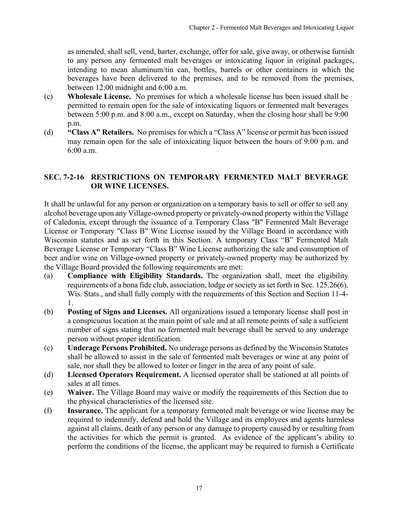<span id="page-16-0"></span>as amended, shall sell, vend, barter, exchange, offer for sale, give away, or otherwise furnish to any person any fermented malt beverages or intoxicating liquor in original packages, intending to mean aluminum/tin can, bottles, barrels or other containers in which the beverages have been delivered to the premises, and to be removed from the premises, between 12:00 midnight and 6:00 a.m.

- (c) **Wholesale License.** No premises for which a wholesale license has been issued shall be permitted to remain open for the sale of intoxicating liquors or fermented malt beverages between 5:00 p.m. and 8:00 a.m., except on Saturday, when the closing hour shall be 9:00 p.m.
- (d) **"Class A" Retailers.** No premises for which a "Class A" license or permit has been issued may remain open for the sale of intoxicating liquor between the hours of 9:00 p.m. and 6:00 a.m.

#### **SEC. 7-2-16 RESTRICTIONS ON TEMPORARY FERMENTED MALT BEVERAGE OR WINE LICENSES.**

It shall be unlawful for any person or organization on a temporary basis to sell or offer to sell any alcohol beverage upon any Village-owned property or privately-owned property within the Village of Caledonia, except through the issuance of a Temporary Class "B" Fermented Malt Beverage License or Temporary "Class B" Wine License issued by the Village Board in accordance with Wisconsin statutes and as set forth in this Section. A temporary Class "B" Fermented Malt Beverage License or Temporary "Class B" Wine License authorizing the sale and consumption of beer and/or wine on Village-owned property or privately-owned property may be authorized by the Village Board provided the following requirements are met:

- (a) **Compliance with Eligibility Standards.** The organization shall, meet the eligibility requirements of a bona fide club, association, lodge or society as set forth in Sec. 125.26(6), Wis. Stats., and shall fully comply with the requirements of this Section and Section 11-4- 1.
- (b) **Posting of Signs and Licenses.** All organizations issued a temporary license shall post in a conspicuous location at the main point of sale and at all remote points of sale a sufficient number of signs stating that no fermented malt beverage shall be served to any underage person without proper identification.
- (c) **Underage Persons Prohibited.** No underage persons as defined by the Wisconsin Statutes shall be allowed to assist in the sale of fermented malt beverages or wine at any point of sale, nor shall they be allowed to loiter or linger in the area of any point of sale.
- (d) **Licensed Operators Requirement.** A licensed operator shall be stationed at all points of sales at all times.
- (e) **Waiver.** The Village Board may waive or modify the requirements of this Section due to the physical characteristics of the licensed site.
- (f) **Insurance.** The applicant for a temporary fermented malt beverage or wine license may be required to indemnify, defend and hold the Village and its employees and agents harmless against all claims, death of any person or any damage to property caused by or resulting from the activities for which the permit is granted. As evidence of the applicant's ability to perform the conditions of the license, the applicant may be required to furnish a Certificate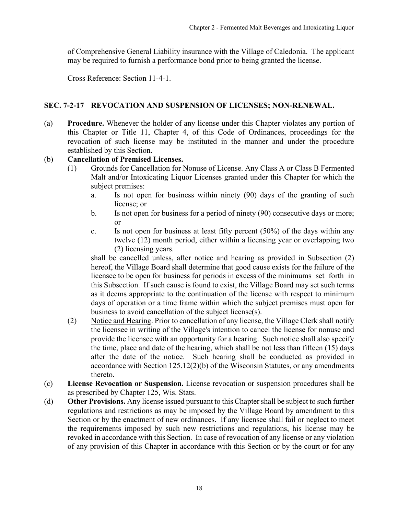<span id="page-17-0"></span>of Comprehensive General Liability insurance with the Village of Caledonia. The applicant may be required to furnish a performance bond prior to being granted the license.

Cross Reference: Section 11-4-1.

#### **SEC. 7-2-17 REVOCATION AND SUSPENSION OF LICENSES; NON-RENEWAL.**

(a) **Procedure.** Whenever the holder of any license under this Chapter violates any portion of this Chapter or Title 11, Chapter 4, of this Code of Ordinances, proceedings for the revocation of such license may be instituted in the manner and under the procedure established by this Section.

### (b) **Cancellation of Premised Licenses.**

- (1) Grounds for Cancellation for Nonuse of License. Any Class A or Class B Fermented Malt and/or Intoxicating Liquor Licenses granted under this Chapter for which the subject premises:
	- a. Is not open for business within ninety (90) days of the granting of such license; or
	- b. Is not open for business for a period of ninety (90) consecutive days or more; or
	- c. Is not open for business at least fifty percent (50%) of the days within any twelve (12) month period, either within a licensing year or overlapping two (2) licensing years.

shall be cancelled unless, after notice and hearing as provided in Subsection (2) hereof, the Village Board shall determine that good cause exists for the failure of the licensee to be open for business for periods in excess of the minimums set forth in this Subsection. If such cause is found to exist, the Village Board may set such terms as it deems appropriate to the continuation of the license with respect to minimum days of operation or a time frame within which the subject premises must open for business to avoid cancellation of the subject license(s).

- (2) Notice and Hearing. Prior to cancellation of any license, the Village Clerk shall notify the licensee in writing of the Village's intention to cancel the license for nonuse and provide the licensee with an opportunity for a hearing. Such notice shall also specify the time, place and date of the hearing, which shall be not less than fifteen (15) days after the date of the notice. Such hearing shall be conducted as provided in accordance with Section 125.12(2)(b) of the Wisconsin Statutes, or any amendments thereto.
- (c) **License Revocation or Suspension.** License revocation or suspension procedures shall be as prescribed by Chapter 125, Wis. Stats.
- (d) **Other Provisions.** Any license issued pursuant to this Chapter shall be subject to such further regulations and restrictions as may be imposed by the Village Board by amendment to this Section or by the enactment of new ordinances. If any licensee shall fail or neglect to meet the requirements imposed by such new restrictions and regulations, his license may be revoked in accordance with this Section. In case of revocation of any license or any violation of any provision of this Chapter in accordance with this Section or by the court or for any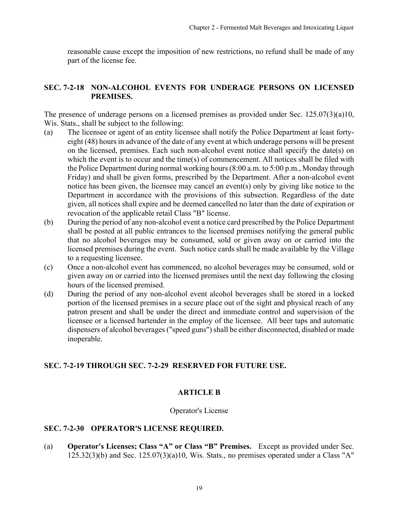<span id="page-18-0"></span>reasonable cause except the imposition of new restrictions, no refund shall be made of any part of the license fee.

### **SEC. 7-2-18 NON-ALCOHOL EVENTS FOR UNDERAGE PERSONS ON LICENSED PREMISES.**

The presence of underage persons on a licensed premises as provided under Sec. 125.07(3)(a)10, Wis. Stats., shall be subject to the following:

- (a) The licensee or agent of an entity licensee shall notify the Police Department at least fortyeight (48) hours in advance of the date of any event at which underage persons will be present on the licensed, premises. Each such non-alcohol event notice shall specify the date(s) on which the event is to occur and the time(s) of commencement. All notices shall be filed with the Police Department during normal working hours (8:00 a.m. to 5:00 p.m., Monday through Friday) and shall be given forms, prescribed by the Department. After a non-alcohol event notice has been given, the licensee may cancel an event(s) only by giving like notice to the Department in accordance with the provisions of this subsection. Regardless of the date given, all notices shall expire and be deemed cancelled no later than the date of expiration or revocation of the applicable retail Class "B" license.
- (b) During the period of any non-alcohol event a notice card prescribed by the Police Department shall be posted at all public entrances to the licensed premises notifying the general public that no alcohol beverages may be consumed, sold or given away on or carried into the licensed premises during the event. Such notice cards shall be made available by the Village to a requesting licensee.
- (c) Once a non-alcohol event has commenced, no alcohol beverages may be consumed, sold or given away on or carried into the licensed premises until the next day following the closing hours of the licensed premised.
- (d) During the period of any non-alcohol event alcohol beverages shall be stored in a locked portion of the licensed premises in a secure place out of the sight and physical reach of any patron present and shall be under the direct and immediate control and supervision of the licensee or a licensed bartender in the employ of the licensee. All beer taps and automatic dispensers of alcohol beverages ("speed guns") shall be either disconnected, disabled or made inoperable.

### **SEC. 7-2-19 THROUGH SEC. 7-2-29 RESERVED FOR FUTURE USE.**

### **ARTICLE B**

#### Operator's License

#### **SEC. 7-2-30 OPERATOR'S LICENSE REQUIRED.**

(a) **Operator's Licenses; Class "A" or Class "B" Premises.** Except as provided under Sec.  $125.32(3)(b)$  and Sec.  $125.07(3)(a)10$ , Wis. Stats., no premises operated under a Class "A"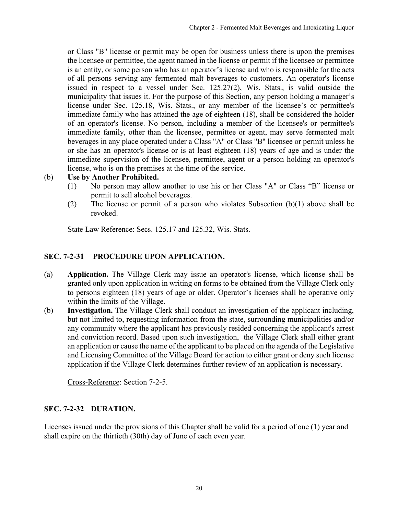<span id="page-19-0"></span>or Class "B" license or permit may be open for business unless there is upon the premises the licensee or permittee, the agent named in the license or permit if the licensee or permittee is an entity, or some person who has an operator's license and who is responsible for the acts of all persons serving any fermented malt beverages to customers. An operator's license issued in respect to a vessel under Sec. 125.27(2), Wis. Stats., is valid outside the municipality that issues it. For the purpose of this Section, any person holding a manager's license under Sec. 125.18, Wis. Stats., or any member of the licensee's or permittee's immediate family who has attained the age of eighteen (18), shall be considered the holder of an operator's license. No person, including a member of the licensee's or permittee's immediate family, other than the licensee, permittee or agent, may serve fermented malt beverages in any place operated under a Class "A" or Class "B" licensee or permit unless he or she has an operator's license or is at least eighteen (18) years of age and is under the immediate supervision of the licensee, permittee, agent or a person holding an operator's license, who is on the premises at the time of the service.

#### (b) **Use by Another Prohibited.**

- (1) No person may allow another to use his or her Class "A" or Class "B" license or permit to sell alcohol beverages.
- (2) The license or permit of a person who violates Subsection (b)(1) above shall be revoked.

State Law Reference: Secs. 125.17 and 125.32, Wis. Stats.

### **SEC. 7-2-31 PROCEDURE UPON APPLICATION.**

- (a) **Application.** The Village Clerk may issue an operator's license, which license shall be granted only upon application in writing on forms to be obtained from the Village Clerk only to persons eighteen (18) years of age or older. Operator's licenses shall be operative only within the limits of the Village.
- (b) **Investigation.** The Village Clerk shall conduct an investigation of the applicant including, but not limited to, requesting information from the state, surrounding municipalities and/or any community where the applicant has previously resided concerning the applicant's arrest and conviction record. Based upon such investigation, the Village Clerk shall either grant an application or cause the name of the applicant to be placed on the agenda of the Legislative and Licensing Committee of the Village Board for action to either grant or deny such license application if the Village Clerk determines further review of an application is necessary.

Cross-Reference: Section 7-2-5.

### **SEC. 7-2-32 DURATION.**

Licenses issued under the provisions of this Chapter shall be valid for a period of one (1) year and shall expire on the thirtieth (30th) day of June of each even year.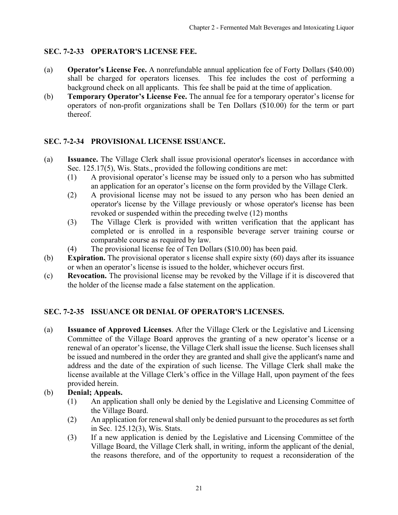### <span id="page-20-0"></span>**SEC. 7-2-33 OPERATOR'S LICENSE FEE.**

- (a) **Operator's License Fee.** A nonrefundable annual application fee of Forty Dollars (\$40.00) shall be charged for operators licenses. This fee includes the cost of performing a background check on all applicants. This fee shall be paid at the time of application.
- (b) **Temporary Operator's License Fee.** The annual fee for a temporary operator's license for operators of non-profit organizations shall be Ten Dollars (\$10.00) for the term or part thereof.

### **SEC. 7-2-34 PROVISIONAL LICENSE ISSUANCE.**

- (a) **Issuance.** The Village Clerk shall issue provisional operator's licenses in accordance with Sec. 125.17(5), Wis. Stats., provided the following conditions are met:
	- (1) A provisional operator's license may be issued only to a person who has submitted an application for an operator's license on the form provided by the Village Clerk.
	- (2) A provisional license may not be issued to any person who has been denied an operator's license by the Village previously or whose operator's license has been revoked or suspended within the preceding twelve (12) months
	- (3) The Village Clerk is provided with written verification that the applicant has completed or is enrolled in a responsible beverage server training course or comparable course as required by law.
	- (4) The provisional license fee of Ten Dollars (\$10.00) has been paid.
- (b) **Expiration.** The provisional operator s license shall expire sixty (60) days after its issuance or when an operator's license is issued to the holder, whichever occurs first.
- (c) **Revocation.** The provisional license may be revoked by the Village if it is discovered that the holder of the license made a false statement on the application.

## **SEC. 7-2-35 ISSUANCE OR DENIAL OF OPERATOR'S LICENSES.**

(a) **Issuance of Approved Licenses**. After the Village Clerk or the Legislative and Licensing Committee of the Village Board approves the granting of a new operator's license or a renewal of an operator's license, the Village Clerk shall issue the license. Such licenses shall be issued and numbered in the order they are granted and shall give the applicant's name and address and the date of the expiration of such license. The Village Clerk shall make the license available at the Village Clerk's office in the Village Hall, upon payment of the fees provided herein.

### (b) **Denial; Appeals.**

- (1) An application shall only be denied by the Legislative and Licensing Committee of the Village Board.
- (2) An application for renewal shall only be denied pursuant to the procedures as set forth in Sec. 125.12(3), Wis. Stats.
- (3) If a new application is denied by the Legislative and Licensing Committee of the Village Board, the Village Clerk shall, in writing, inform the applicant of the denial, the reasons therefore, and of the opportunity to request a reconsideration of the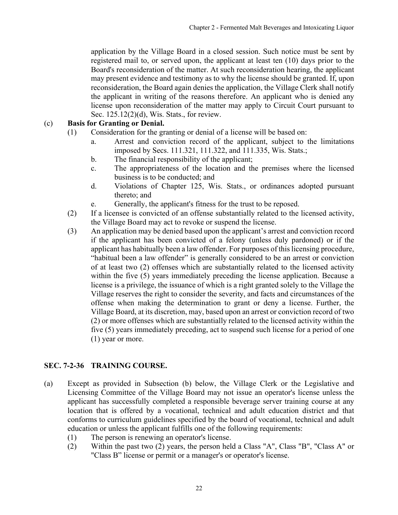<span id="page-21-0"></span>application by the Village Board in a closed session. Such notice must be sent by registered mail to, or served upon, the applicant at least ten (10) days prior to the Board's reconsideration of the matter. At such reconsideration hearing, the applicant may present evidence and testimony as to why the license should be granted. If, upon reconsideration, the Board again denies the application, the Village Clerk shall notify the applicant in writing of the reasons therefore. An applicant who is denied any license upon reconsideration of the matter may apply to Circuit Court pursuant to Sec. 125.12(2)(d), Wis. Stats., for review.

#### (c) **Basis for Granting or Denial.**

- (1) Consideration for the granting or denial of a license will be based on:
	- a. Arrest and conviction record of the applicant, subject to the limitations imposed by Secs. 111.321, 111.322, and 111.335, Wis. Stats.;
	- b. The financial responsibility of the applicant;
	- c. The appropriateness of the location and the premises where the licensed business is to be conducted; and
	- d. Violations of Chapter 125, Wis. Stats., or ordinances adopted pursuant thereto; and
	- e. Generally, the applicant's fitness for the trust to be reposed.
- (2) If a licensee is convicted of an offense substantially related to the licensed activity, the Village Board may act to revoke or suspend the license.
- (3) An application may be denied based upon the applicant's arrest and conviction record if the applicant has been convicted of a felony (unless duly pardoned) or if the applicant has habitually been a law offender. For purposes of this licensing procedure, "habitual been a law offender" is generally considered to be an arrest or conviction of at least two (2) offenses which are substantially related to the licensed activity within the five (5) years immediately preceding the license application. Because a license is a privilege, the issuance of which is a right granted solely to the Village the Village reserves the right to consider the severity, and facts and circumstances of the offense when making the determination to grant or deny a license. Further, the Village Board, at its discretion, may, based upon an arrest or conviction record of two (2) or more offenses which are substantially related to the licensed activity within the five (5) years immediately preceding, act to suspend such license for a period of one (1) year or more.

### **SEC. 7-2-36 TRAINING COURSE.**

- (a) Except as provided in Subsection (b) below, the Village Clerk or the Legislative and Licensing Committee of the Village Board may not issue an operator's license unless the applicant has successfully completed a responsible beverage server training course at any location that is offered by a vocational, technical and adult education district and that conforms to curriculum guidelines specified by the board of vocational, technical and adult education or unless the applicant fulfills one of the following requirements:
	- (1) The person is renewing an operator's license.
	- (2) Within the past two (2) years, the person held a Class "A", Class "B", "Class A" or "Class B" license or permit or a manager's or operator's license.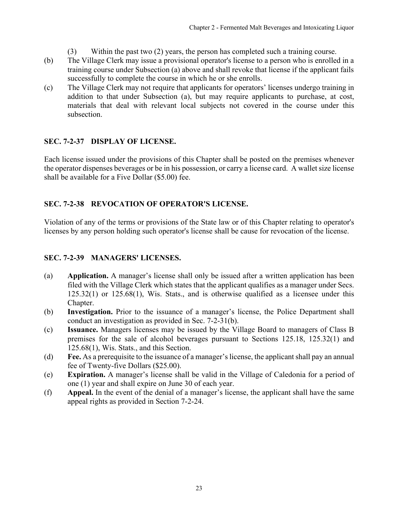- (3) Within the past two (2) years, the person has completed such a training course.
- <span id="page-22-0"></span>(b) The Village Clerk may issue a provisional operator's license to a person who is enrolled in a training course under Subsection (a) above and shall revoke that license if the applicant fails successfully to complete the course in which he or she enrolls.
- (c) The Village Clerk may not require that applicants for operators' licenses undergo training in addition to that under Subsection (a), but may require applicants to purchase, at cost, materials that deal with relevant local subjects not covered in the course under this subsection.

### **SEC. 7-2-37 DISPLAY OF LICENSE.**

Each license issued under the provisions of this Chapter shall be posted on the premises whenever the operator dispenses beverages or be in his possession, or carry a license card. A wallet size license shall be available for a Five Dollar (\$5.00) fee.

## **SEC. 7-2-38 REVOCATION OF OPERATOR'S LICENSE.**

Violation of any of the terms or provisions of the State law or of this Chapter relating to operator's licenses by any person holding such operator's license shall be cause for revocation of the license.

## **SEC. 7-2-39 MANAGERS' LICENSES.**

- (a) **Application.** A manager's license shall only be issued after a written application has been filed with the Village Clerk which states that the applicant qualifies as a manager under Secs. 125.32(1) or 125.68(1), Wis. Stats., and is otherwise qualified as a licensee under this Chapter.
- (b) **Investigation.** Prior to the issuance of a manager's license, the Police Department shall conduct an investigation as provided in Sec. 7-2-31(b).
- (c) **Issuance.** Managers licenses may be issued by the Village Board to managers of Class B premises for the sale of alcohol beverages pursuant to Sections 125.18, 125.32(1) and 125.68(1), Wis. Stats., and this Section.
- (d) **Fee.** As a prerequisite to the issuance of a manager's license, the applicant shall pay an annual fee of Twenty-five Dollars (\$25.00).
- (e) **Expiration.** A manager's license shall be valid in the Village of Caledonia for a period of one (1) year and shall expire on June 30 of each year.
- (f) **Appeal.** In the event of the denial of a manager's license, the applicant shall have the same appeal rights as provided in Section 7-2-24.